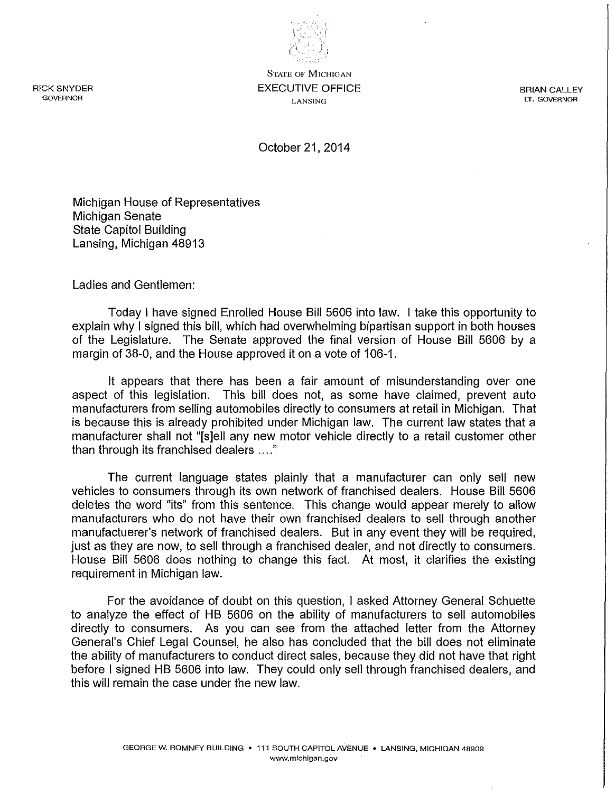RICK SNYDER **GOVERNOR** 

**STATE OF MICHIGAN**  EXECUTIVE OFFICE **LANSING** 

 $\mathcal{L}$ 't 'n ,  $\langle\!\langle ... \rangle\!\rangle$ 

> BRIAN CALLEY **LT. GOVERNOR**

October 21,2014

Michigan House of Representatives Michigan Senate State Capitol Building Lansing, Michigan 48913

Ladies and Gentlemen:

Today I have signed Enrolled House Bill 5606 into law. I take this opportunity to explain why I signed this bill, which had overwhelming bipartisan support in both houses of the Legislature. The Senate approved the final version of House Bill 5606 by a margin of 38-0, and the House approved it on a vote of 106-1.

It appears that there has been a fair amount of misunderstanding over one aspect of this legislation. This bill does not, as some have claimed, prevent auto manufacturers from selling automobiles directly to consumers at retail in Michigan. That is because this is already prohibited under Michigan law. The current law states that a manufacturer shall not "[s]ell any new motor vehicle directly to a retail customer other than through its franchised dealers .... "

The current language states plainly that a manufacturer can only sell new vehicles to consumers through its own network of franchised dealers. House Bill 5606 deletes the word "its" from this sentence. This change would appear merely to allow manufacturers who do not have their own franchised dealers to sell through another manufactuerer's network of franchised dealers. But in any event they will be required, just as they are now, to sell through a franchised dealer, and not directly to consumers. House Bill 5606 does nothing to change this fact. At most, it clarifies the existing requirement in Michigan law.

For the avoidance of doubt on this question, I asked Attorney General Schuette to analyze the effect of HB 5606 on the ability of manufacturers to sell automobiles directly to consumers. As you can see from the attached letter from the Attorney General's Chief Legal Counsel, he also has concluded that the bill does not eliminate the ability of manufacturers to conduct direct sales, because they did not have that right before I signed HB 5606 into law. They could only sell through franchised dealers, and this will remain the case under the new law.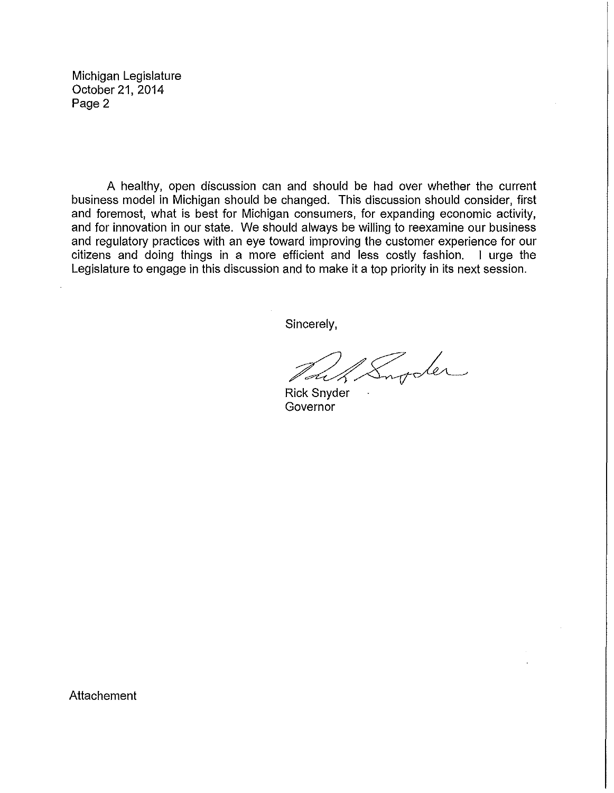Michigan Legislature October 21,2014 Page 2

A healthy, open discussion can and should be had over whether the current business model in Michigan should be changed. This discussion should consider, first and foremost, what is best for Michigan consumers, for expanding economic activity, and for innovation in our state. We should always be willing to reexamine our business and regulatory practices with an eye toward improving the customer experience for our citizens and doing things in a more efficient and less costly fashion. I urge the Legislature to engage in this discussion and to make it a top priority in its next session.

Sincerely,

Rick Snyder **Governor** 

Attachement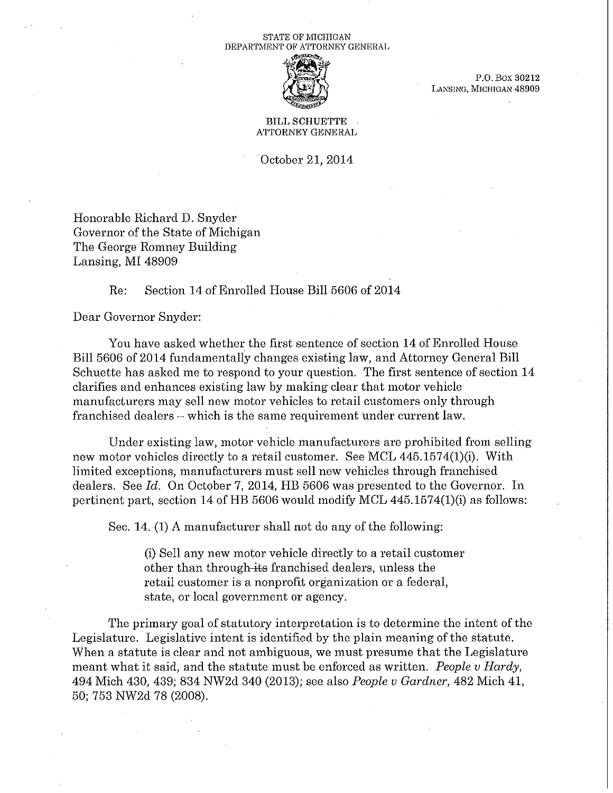### STATE OF MICHIGAN DEPARTMENT OF ATTORNEY GENERAL



P.O. Box 30212 LANSING, MICHIGAN 48909

BILL SCHUETTE ATTORNEY GENERAL

October 21, 2014

Honorable Richard D. Snyder Governor of the State of Michigan The George Romney Building Lansing, MI 48909

## Re: Section 14 of Enrolled House Bill 5606 of 2014

Dear Governor Snyder:

You have asked whether the first sentence of section 14 of Enrolled House Bill 5606 of 2014 fundamentally changes existing law, and Attorney General Bill Schuette has asked me to respond to your question. The first sentence of section 14 clarifies and enhances existing law by making clear that motor vehicle manufacturers may sell new motor vehicles to retail customers only through franchised dealers – which is the same requirement under current law.

Under existing law, motor vehicle manufacturers are prohibited from selling new motor vehicles directly to a retail customer. See MCL 445.1574(1)(i). With limited exceptions, manufacturers must sell new vehicles through franchised dealers. See *Id.* On October 7, 2014, HB 5606 was presented to the Governor. In pertinent part, section 14 of HB 5606 would modify MCL  $445.1574(1)(i)$  as follows:

Sec. 14. (1) A manufacturer shall not do any of the following:

(i) Sell any new motor vehicle directly to a retail customer other than through-its franchised dealers, unless the retail customer is a nonprofit organization or a federal, state, or local government or agency.

The primary goal of statutory interpretation is to determine the intent of the Legislature. Legislative intent is identified by the plain meaning of the statute. When a statute is clear and not ambiguous, we must presume that the Legislature meant what it said, and the statute must be enforced as written. *People v Hardy,*  494 Mich 430, 439; 834 NW2d 340 (2013); see also *People v Gardner,* 482 Mich 41, 50; 753 NW2d 78 (2008).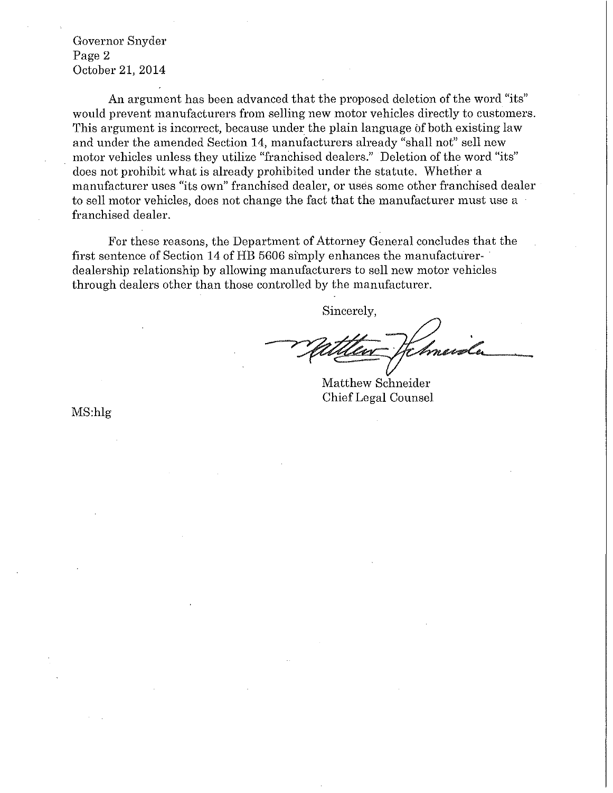Governor Snyder Page 2 October 21, 2014

An argument has been advanced that the proposed deletion of the word "its" would prevent manufacturers from selling new motor vehicles directly to customers. This argument is incorrect, because under the plain language of both existing law and under the amended Section 14, manufacturers already "shall not" sell new motor vehicles unless they utilize "franchised dealers." Deletion of the word "its" does not prohibit what is already prohibited under the statute. Whether a manufacturer uses "its own" franchised dealer, or uses some other franchised dealer to sell motor vehicles, does not change the fact that the manufacturer must use a franchised dealer.

For these reasons, the Department of Attorney General concludes that the first sentence of Section 14 of HE 5606 simply enhances the manufacturer- . dealership relationship by allowing manufacturers to sell new motor vehicles through dealers other than those controlled by the manufacturer.

Matthew Schneider

Chief Legal Counsel

MS:hlg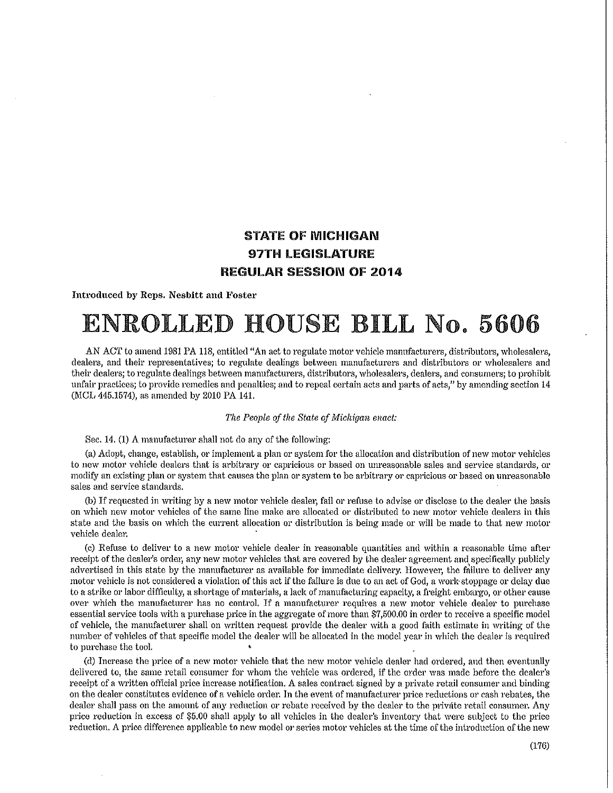## STATE OF MICHIGAN 97TH LEGISLATURE REGULAR SESSION OF 2014

Introduced by Reps. Nesbitt mul Foster

# ENROLLED HOUSE BILL No. 5606

AN ACT to mnend 1981 PA 118, entitled "An act to regulate motor vehicle manufacturers, distributors, wholesalers, dealers, and their representatives; to regulate dealings between manufacturers and distributors or wholesalers and their dealers; to regulate dea1ings between manufacturers, distributors, wholesalers, dealers, and consumers; to prohibit unfair practicesj to provide remedies and penalties; and to repeal certain acts and parts of acts," by amending section 14 (MCL 445.1574), as amended by 2010 PA 141.

### *The People of the State of Michigan enact:*

Sec. 14. (1) A manufacturer shall not do any of the following:

(a) Adopt, change, establish, or implement a plan or system for the allocation and distribution of new motor vehicles to new motor vehicle dealers that is arbitrary or capricious or based on unreasonable sales and service standards, or modify an existing plan or system that causes the plan or system to be arbitrary or capricious or based on unreasonable sales and service standards.

(b) If requested in writing by a new motor vehicle dealer, fail or refuse to advise or disclose to the dealer the basis on which new motor vehicles of the same line make are allocated or distributed to new motor vehicle dealers in this state and the basis on which the current allocation or distribution is being made or will be made to that new motor vehicle dealer.

(c) Refuse to deliver to a new motor vehicle dealer in reasonable quantities and within a reasonable time after receipt of the dealer's order, any new motor vehicles that are covered by the dealer agreement and specifically publicly advertised in this state by the manufacturer as available for immediate delivery. However, the failure to deliver any motor vehicle is not considered a violation of this act if the failure is due to an act of God, a work stoppage or delay due to a strike or labor difficulty, a shortage of materials, a lack of manufacturing capacity, a freight embargo, or other cause over which the manufacturer has no control. If a manufacturer requires a new motor vehicle dealer to purchase essential service tools with a purchase price in the aggregate of more than \$7,500.00 in order to receive a specific model of vehicle, the manufacturer shall on written request provide the dealer with a good faith estimate in writing of the number of vehicles of that specific mode} the dealer will be allocated in the model year in which the dealer is required to purchase the tool.

(d) Increase the price of a new motor vehicle that the new motor vehicle dealer had ordered, and then eventually delivered to, the same retail consumer for whom the vehicle was ordered, if the order was made before the dealer's receipt of a written ofticial price increase notification. A sales contract signed by a private retail consumer and binding on the dealer constitutes evidence of a vehicle order. In the event of manufacturer price reductions or cash rebates, the dealer shall pass on the amount of any reduction or rebate received by the dealer to the private retail consumer. Any price reduction in excess of \$5.00 shall apply to all vehicles in the dealer's inventory that were subject to the price reduction. A price difference applicable to new model or series motor vehicles at the time of the introduction of the new